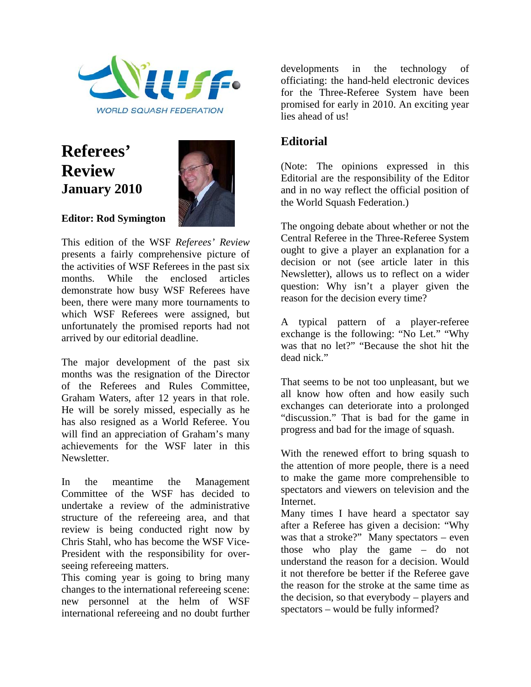

# **Referees' Review January 2010**



## **Editor: Rod Symington**

This edition of the WSF *Referees' Review* presents a fairly comprehensive picture of the activities of WSF Referees in the past six months. While the enclosed articles demonstrate how busy WSF Referees have been, there were many more tournaments to which WSF Referees were assigned, but unfortunately the promised reports had not arrived by our editorial deadline.

The major development of the past six months was the resignation of the Director of the Referees and Rules Committee, Graham Waters, after 12 years in that role. He will be sorely missed, especially as he has also resigned as a World Referee. You will find an appreciation of Graham's many achievements for the WSF later in this Newsletter.

In the meantime the Management Committee of the WSF has decided to undertake a review of the administrative structure of the refereeing area, and that review is being conducted right now by Chris Stahl, who has become the WSF Vice-President with the responsibility for overseeing refereeing matters.

This coming year is going to bring many changes to the international refereeing scene: new personnel at the helm of WSF international refereeing and no doubt further developments in the technology of officiating: the hand-held electronic devices for the Three-Referee System have been promised for early in 2010. An exciting year lies ahead of us!

## **Editorial**

(Note: The opinions expressed in this Editorial are the responsibility of the Editor and in no way reflect the official position of the World Squash Federation.)

The ongoing debate about whether or not the Central Referee in the Three-Referee System ought to give a player an explanation for a decision or not (see article later in this Newsletter), allows us to reflect on a wider question: Why isn't a player given the reason for the decision every time?

A typical pattern of a player-referee exchange is the following: "No Let." "Why was that no let?" "Because the shot hit the dead nick."

That seems to be not too unpleasant, but we all know how often and how easily such exchanges can deteriorate into a prolonged "discussion." That is bad for the game in progress and bad for the image of squash.

With the renewed effort to bring squash to the attention of more people, there is a need to make the game more comprehensible to spectators and viewers on television and the Internet.

Many times I have heard a spectator say after a Referee has given a decision: "Why was that a stroke?" Many spectators – even those who play the game – do not understand the reason for a decision. Would it not therefore be better if the Referee gave the reason for the stroke at the same time as the decision, so that everybody – players and spectators – would be fully informed?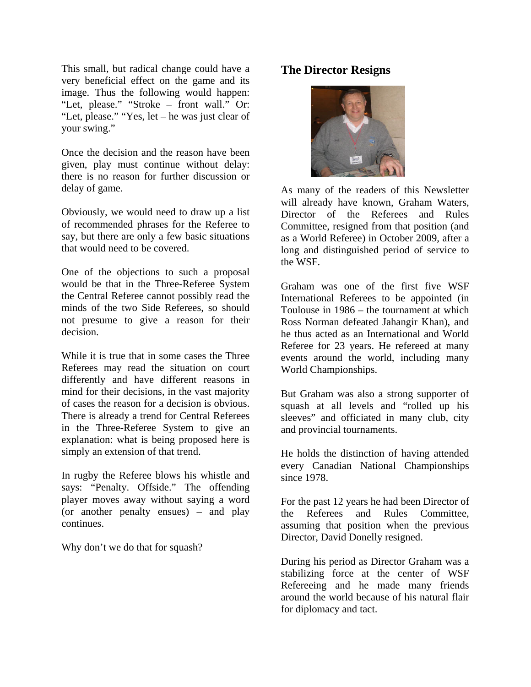This small, but radical change could have a very beneficial effect on the game and its image. Thus the following would happen: "Let, please." "Stroke – front wall." Or: "Let, please." "Yes, let – he was just clear of your swing."

Once the decision and the reason have been given, play must continue without delay: there is no reason for further discussion or delay of game.

Obviously, we would need to draw up a list of recommended phrases for the Referee to say, but there are only a few basic situations that would need to be covered.

One of the objections to such a proposal would be that in the Three-Referee System the Central Referee cannot possibly read the minds of the two Side Referees, so should not presume to give a reason for their decision.

While it is true that in some cases the Three Referees may read the situation on court differently and have different reasons in mind for their decisions, in the vast majority of cases the reason for a decision is obvious. There is already a trend for Central Referees in the Three-Referee System to give an explanation: what is being proposed here is simply an extension of that trend.

In rugby the Referee blows his whistle and says: "Penalty. Offside." The offending player moves away without saying a word (or another penalty ensues) – and play continues.

Why don't we do that for squash?

## **The Director Resigns**



As many of the readers of this Newsletter will already have known, Graham Waters, Director of the Referees and Rules Committee, resigned from that position (and as a World Referee) in October 2009, after a long and distinguished period of service to the WSF.

Graham was one of the first five WSF International Referees to be appointed (in Toulouse in 1986 – the tournament at which Ross Norman defeated Jahangir Khan), and he thus acted as an International and World Referee for 23 years. He refereed at many events around the world, including many World Championships.

But Graham was also a strong supporter of squash at all levels and "rolled up his sleeves" and officiated in many club, city and provincial tournaments.

He holds the distinction of having attended every Canadian National Championships since 1978.

For the past 12 years he had been Director of the Referees and Rules Committee, assuming that position when the previous Director, David Donelly resigned.

During his period as Director Graham was a stabilizing force at the center of WSF Refereeing and he made many friends around the world because of his natural flair for diplomacy and tact.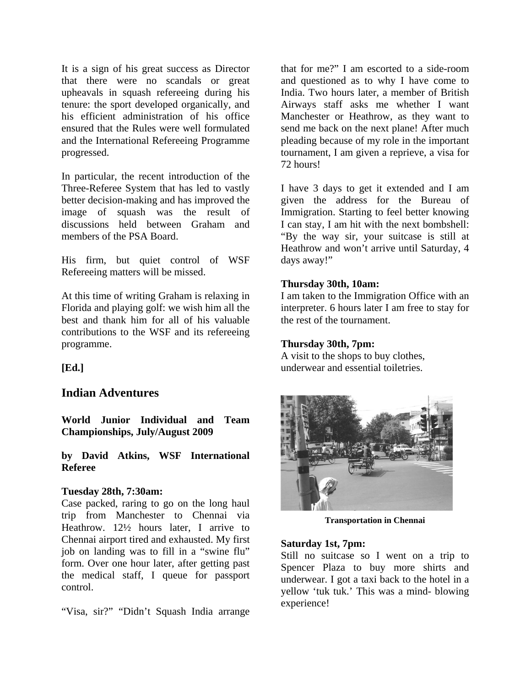It is a sign of his great success as Director that there were no scandals or great upheavals in squash refereeing during his tenure: the sport developed organically, and his efficient administration of his office ensured that the Rules were well formulated and the International Refereeing Programme progressed.

In particular, the recent introduction of the Three-Referee System that has led to vastly better decision-making and has improved the image of squash was the result of discussions held between Graham and members of the PSA Board.

His firm, but quiet control of WSF Refereeing matters will be missed.

At this time of writing Graham is relaxing in Florida and playing golf: we wish him all the best and thank him for all of his valuable contributions to the WSF and its refereeing programme.

**[Ed.]** 

## **Indian Adventures**

**World Junior Individual and Team Championships, July/August 2009** 

**by David Atkins, WSF International Referee** 

#### **Tuesday 28th, 7:30am:**

Case packed, raring to go on the long haul trip from Manchester to Chennai via Heathrow. 12½ hours later, I arrive to Chennai airport tired and exhausted. My first job on landing was to fill in a "swine flu" form. Over one hour later, after getting past the medical staff, I queue for passport control.

"Visa, sir?" "Didn't Squash India arrange

that for me?" I am escorted to a side-room and questioned as to why I have come to India. Two hours later, a member of British Airways staff asks me whether I want Manchester or Heathrow, as they want to send me back on the next plane! After much pleading because of my role in the important tournament, I am given a reprieve, a visa for 72 hours!

I have 3 days to get it extended and I am given the address for the Bureau of Immigration. Starting to feel better knowing I can stay, I am hit with the next bombshell: "By the way sir, your suitcase is still at Heathrow and won't arrive until Saturday, 4 days away!"

#### **Thursday 30th, 10am:**

I am taken to the Immigration Office with an interpreter. 6 hours later I am free to stay for the rest of the tournament.

#### **Thursday 30th, 7pm:**

A visit to the shops to buy clothes, underwear and essential toiletries.



**Transportation in Chennai** 

#### **Saturday 1st, 7pm:**

Still no suitcase so I went on a trip to Spencer Plaza to buy more shirts and underwear. I got a taxi back to the hotel in a yellow 'tuk tuk.' This was a mind- blowing experience!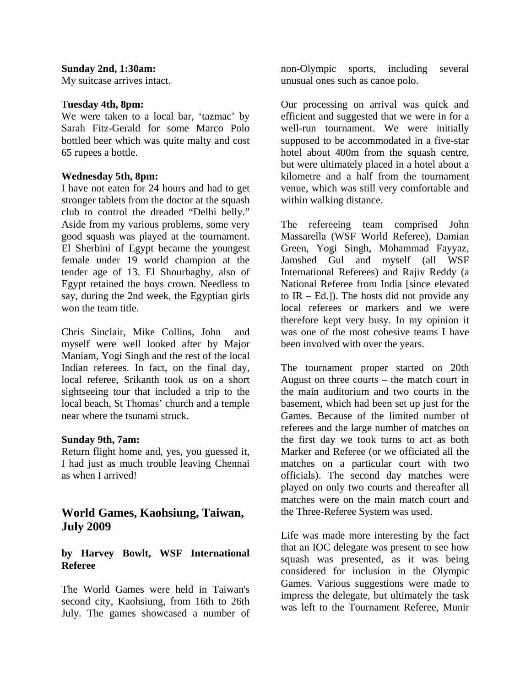#### **Sunday 2nd, 1:30am:**

My suitcase arrives intact.

#### T**uesday 4th, 8pm:**

We were taken to a local bar, 'tazmac' by Sarah Fitz-Gerald for some Marco Polo bottled beer which was quite malty and cost 65 rupees a bottle.

#### **Wednesday 5th, 8pm:**

I have not eaten for 24 hours and had to get stronger tablets from the doctor at the squash club to control the dreaded "Delhi belly." Aside from my various problems, some very good squash was played at the tournament. El Sherbini of Egypt became the youngest female under 19 world champion at the tender age of 13. El Shourbaghy, also of Egypt retained the boys crown. Needless to say, during the 2nd week, the Egyptian girls won the team title.

Chris Sinclair, Mike Collins, John and myself were well looked after by Major Maniam, Yogi Singh and the rest of the local Indian referees. In fact, on the final day, local referee, Srikanth took us on a short sightseeing tour that included a trip to the local beach, St Thomas' church and a temple near where the tsunami struck.

#### **Sunday 9th, 7am:**

Return flight home and, yes, you guessed it, I had just as much trouble leaving Chennai as when I arrived!

## **World Games, Kaohsiung, Taiwan, July 2009**

## **by Harvey Bowlt, WSF International Referee**

The World Games were held in Taiwan's second city, Kaohsiung, from 16th to 26th July. The games showcased a number of non-Olympic sports, including several unusual ones such as canoe polo.

Our processing on arrival was quick and efficient and suggested that we were in for a well-run tournament. We were initially supposed to be accommodated in a five-star hotel about 400m from the squash centre, but were ultimately placed in a hotel about a kilometre and a half from the tournament venue, which was still very comfortable and within walking distance.

The refereeing team comprised John Massarella (WSF World Referee), Damian Green, Yogi Singh, Mohammad Fayyaz, Jamshed Gul and myself (all WSF International Referees) and Rajiv Reddy (a National Referee from India [since elevated to  $IR - Ed.$ ]). The hosts did not provide any local referees or markers and we were therefore kept very busy. In my opinion it was one of the most cohesive teams I have been involved with over the years.

The tournament proper started on 20th August on three courts – the match court in the main auditorium and two courts in the basement, which had been set up just for the Games. Because of the limited number of referees and the large number of matches on the first day we took turns to act as both Marker and Referee (or we officiated all the matches on a particular court with two officials). The second day matches were played on only two courts and thereafter all matches were on the main match court and the Three-Referee System was used.

Life was made more interesting by the fact that an IOC delegate was present to see how squash was presented, as it was being considered for inclusion in the Olympic Games. Various suggestions were made to impress the delegate, but ultimately the task was left to the Tournament Referee, Munir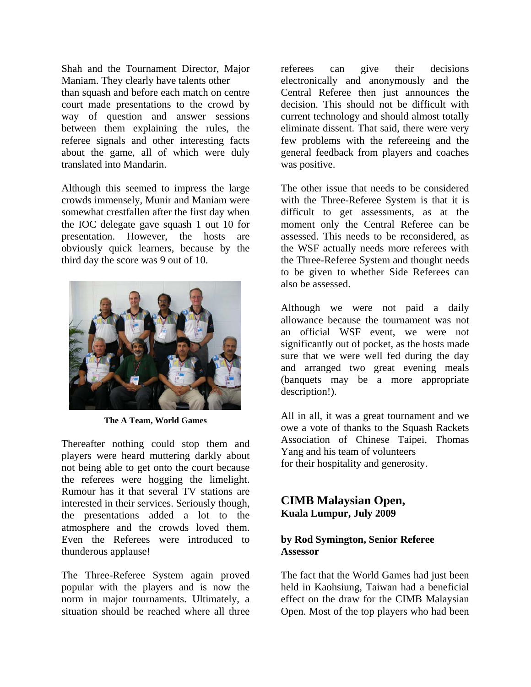Shah and the Tournament Director, Major Maniam. They clearly have talents other than squash and before each match on centre court made presentations to the crowd by way of question and answer sessions between them explaining the rules, the referee signals and other interesting facts about the game, all of which were duly translated into Mandarin.

Although this seemed to impress the large crowds immensely, Munir and Maniam were somewhat crestfallen after the first day when the IOC delegate gave squash 1 out 10 for presentation. However, the hosts are obviously quick learners, because by the third day the score was 9 out of 10.



**The A Team, World Games** 

Thereafter nothing could stop them and players were heard muttering darkly about not being able to get onto the court because the referees were hogging the limelight. Rumour has it that several TV stations are interested in their services. Seriously though, the presentations added a lot to the atmosphere and the crowds loved them. Even the Referees were introduced to thunderous applause!

The Three-Referee System again proved popular with the players and is now the norm in major tournaments. Ultimately, a situation should be reached where all three

referees can give their decisions electronically and anonymously and the Central Referee then just announces the decision. This should not be difficult with current technology and should almost totally eliminate dissent. That said, there were very few problems with the refereeing and the general feedback from players and coaches was positive.

The other issue that needs to be considered with the Three-Referee System is that it is difficult to get assessments, as at the moment only the Central Referee can be assessed. This needs to be reconsidered, as the WSF actually needs more referees with the Three-Referee System and thought needs to be given to whether Side Referees can also be assessed.

Although we were not paid a daily allowance because the tournament was not an official WSF event, we were not significantly out of pocket, as the hosts made sure that we were well fed during the day and arranged two great evening meals (banquets may be a more appropriate description!).

All in all, it was a great tournament and we owe a vote of thanks to the Squash Rackets Association of Chinese Taipei, Thomas Yang and his team of volunteers for their hospitality and generosity.

## **CIMB Malaysian Open, Kuala Lumpur, July 2009**

## **by Rod Symington, Senior Referee Assessor**

The fact that the World Games had just been held in Kaohsiung, Taiwan had a beneficial effect on the draw for the CIMB Malaysian Open. Most of the top players who had been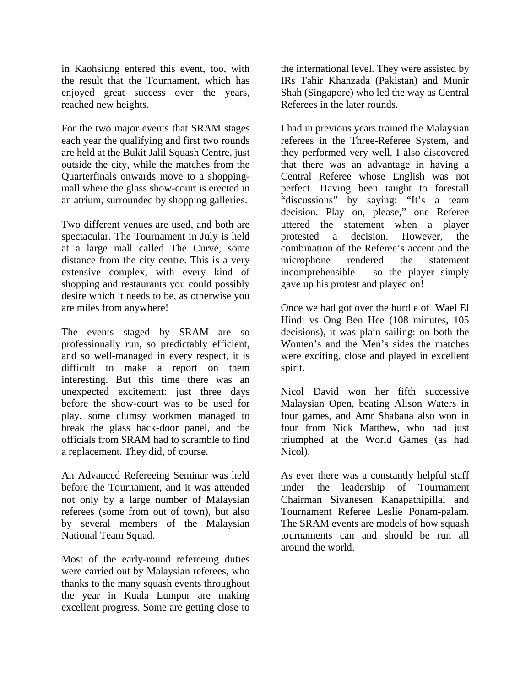in Kaohsiung entered this event, too, with the result that the Tournament, which has enjoyed great success over the years, reached new heights.

For the two major events that SRAM stages each year the qualifying and first two rounds are held at the Bukit Jalil Squash Centre, just outside the city, while the matches from the Quarterfinals onwards move to a shoppingmall where the glass show-court is erected in an atrium, surrounded by shopping galleries.

Two different venues are used, and both are spectacular. The Tournament in July is held at a large mall called The Curve, some distance from the city centre. This is a very extensive complex, with every kind of shopping and restaurants you could possibly desire which it needs to be, as otherwise you are miles from anywhere!

The events staged by SRAM are so professionally run, so predictably efficient, and so well-managed in every respect, it is difficult to make a report on them interesting. But this time there was an unexpected excitement: just three days before the show-court was to be used for play, some clumsy workmen managed to break the glass back-door panel, and the officials from SRAM had to scramble to find a replacement. They did, of course.

An Advanced Refereeing Seminar was held before the Tournament, and it was attended not only by a large number of Malaysian referees (some from out of town), but also by several members of the Malaysian National Team Squad.

Most of the early-round refereeing duties were carried out by Malaysian referees, who thanks to the many squash events throughout the year in Kuala Lumpur are making excellent progress. Some are getting close to

the international level. They were assisted by IRs Tahir Khanzada (Pakistan) and Munir Shah (Singapore) who led the way as Central Referees in the later rounds.

I had in previous years trained the Malaysian referees in the Three-Referee System, and they performed very well. I also discovered that there was an advantage in having a Central Referee whose English was not perfect. Having been taught to forestall "discussions" by saying: "It's a team decision. Play on, please," one Referee uttered the statement when a player protested a decision. However, the combination of the Referee's accent and the microphone rendered the statement incomprehensible – so the player simply gave up his protest and played on!

Once we had got over the hurdle of Wael El Hindi vs Ong Ben Hee (108 minutes, 105 decisions), it was plain sailing: on both the Women's and the Men's sides the matches were exciting, close and played in excellent spirit.

Nicol David won her fifth successive Malaysian Open, beating Alison Waters in four games, and Amr Shabana also won in four from Nick Matthew, who had just triumphed at the World Games (as had Nicol).

As ever there was a constantly helpful staff under the leadership of Tournament Chairman Sivanesen Kanapathipillai and Tournament Referee Leslie Ponam-palam. The SRAM events are models of how squash tournaments can and should be run all around the world.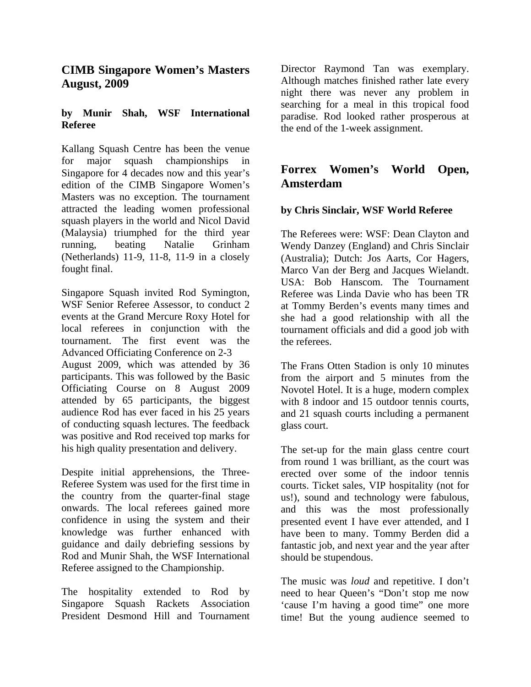## **CIMB Singapore Women's Masters August, 2009**

## **by Munir Shah, WSF International Referee**

Kallang Squash Centre has been the venue for major squash championships in Singapore for 4 decades now and this year's edition of the CIMB Singapore Women's Masters was no exception. The tournament attracted the leading women professional squash players in the world and Nicol David (Malaysia) triumphed for the third year running, beating Natalie Grinham (Netherlands) 11-9, 11-8, 11-9 in a closely fought final.

Singapore Squash invited Rod Symington, WSF Senior Referee Assessor, to conduct 2 events at the Grand Mercure Roxy Hotel for local referees in conjunction with the tournament. The first event was the Advanced Officiating Conference on 2-3 August 2009, which was attended by 36 participants. This was followed by the Basic Officiating Course on 8 August 2009 attended by 65 participants, the biggest audience Rod has ever faced in his 25 years of conducting squash lectures. The feedback was positive and Rod received top marks for his high quality presentation and delivery.

Despite initial apprehensions, the Three-Referee System was used for the first time in the country from the quarter-final stage onwards. The local referees gained more confidence in using the system and their knowledge was further enhanced with guidance and daily debriefing sessions by Rod and Munir Shah, the WSF International Referee assigned to the Championship.

The hospitality extended to Rod by Singapore Squash Rackets Association President Desmond Hill and Tournament

Director Raymond Tan was exemplary. Although matches finished rather late every night there was never any problem in searching for a meal in this tropical food paradise. Rod looked rather prosperous at the end of the 1-week assignment.

## **Forrex Women's World Open, Amsterdam**

## **by Chris Sinclair, WSF World Referee**

The Referees were: WSF: Dean Clayton and Wendy Danzey (England) and Chris Sinclair (Australia); Dutch: Jos Aarts, Cor Hagers, Marco Van der Berg and Jacques Wielandt. USA: Bob Hanscom. The Tournament Referee was Linda Davie who has been TR at Tommy Berden's events many times and she had a good relationship with all the tournament officials and did a good job with the referees.

The Frans Otten Stadion is only 10 minutes from the airport and 5 minutes from the Novotel Hotel. It is a huge, modern complex with 8 indoor and 15 outdoor tennis courts. and 21 squash courts including a permanent glass court.

The set-up for the main glass centre court from round 1 was brilliant, as the court was erected over some of the indoor tennis courts. Ticket sales, VIP hospitality (not for us!), sound and technology were fabulous, and this was the most professionally presented event I have ever attended, and I have been to many. Tommy Berden did a fantastic job, and next year and the year after should be stupendous.

The music was *loud* and repetitive. I don't need to hear Queen's "Don't stop me now 'cause I'm having a good time" one more time! But the young audience seemed to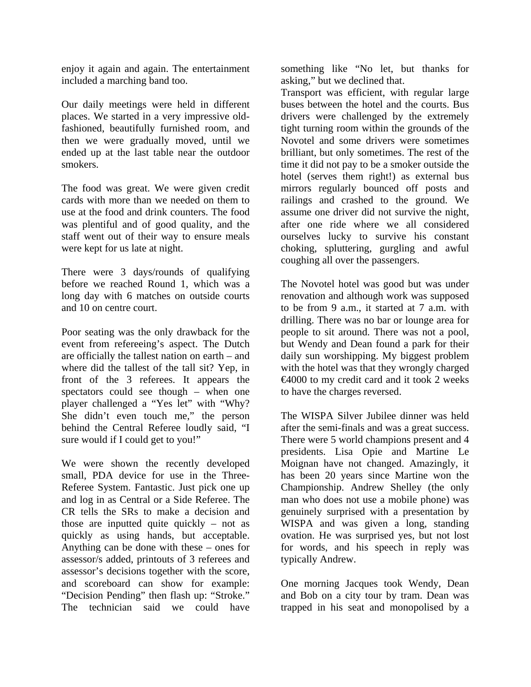enjoy it again and again. The entertainment included a marching band too.

Our daily meetings were held in different places. We started in a very impressive oldfashioned, beautifully furnished room, and then we were gradually moved, until we ended up at the last table near the outdoor smokers.

The food was great. We were given credit cards with more than we needed on them to use at the food and drink counters. The food was plentiful and of good quality, and the staff went out of their way to ensure meals were kept for us late at night.

There were 3 days/rounds of qualifying before we reached Round 1, which was a long day with 6 matches on outside courts and 10 on centre court.

Poor seating was the only drawback for the event from refereeing's aspect. The Dutch are officially the tallest nation on earth – and where did the tallest of the tall sit? Yep, in front of the 3 referees. It appears the spectators could see though – when one player challenged a "Yes let" with "Why? She didn't even touch me," the person behind the Central Referee loudly said, "I sure would if I could get to you!"

We were shown the recently developed small, PDA device for use in the Three-Referee System. Fantastic. Just pick one up and log in as Central or a Side Referee. The CR tells the SRs to make a decision and those are inputted quite quickly – not as quickly as using hands, but acceptable. Anything can be done with these – ones for assessor/s added, printouts of 3 referees and assessor's decisions together with the score, and scoreboard can show for example: "Decision Pending" then flash up: "Stroke." The technician said we could have

something like "No let, but thanks for asking," but we declined that.

Transport was efficient, with regular large buses between the hotel and the courts. Bus drivers were challenged by the extremely tight turning room within the grounds of the Novotel and some drivers were sometimes brilliant, but only sometimes. The rest of the time it did not pay to be a smoker outside the hotel (serves them right!) as external bus mirrors regularly bounced off posts and railings and crashed to the ground. We assume one driver did not survive the night, after one ride where we all considered ourselves lucky to survive his constant choking, spluttering, gurgling and awful coughing all over the passengers.

The Novotel hotel was good but was under renovation and although work was supposed to be from 9 a.m., it started at 7 a.m. with drilling. There was no bar or lounge area for people to sit around. There was not a pool, but Wendy and Dean found a park for their daily sun worshipping. My biggest problem with the hotel was that they wrongly charged €4000 to my credit card and it took 2 weeks to have the charges reversed.

The WISPA Silver Jubilee dinner was held after the semi-finals and was a great success. There were 5 world champions present and 4 presidents. Lisa Opie and Martine Le Moignan have not changed. Amazingly, it has been 20 years since Martine won the Championship. Andrew Shelley (the only man who does not use a mobile phone) was genuinely surprised with a presentation by WISPA and was given a long, standing ovation. He was surprised yes, but not lost for words, and his speech in reply was typically Andrew.

One morning Jacques took Wendy, Dean and Bob on a city tour by tram. Dean was trapped in his seat and monopolised by a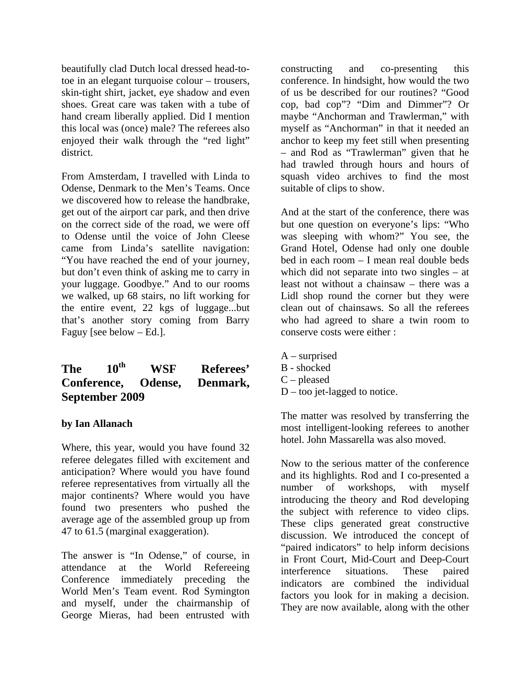beautifully clad Dutch local dressed head-totoe in an elegant turquoise colour – trousers, skin-tight shirt, jacket, eye shadow and even shoes. Great care was taken with a tube of hand cream liberally applied. Did I mention this local was (once) male? The referees also enjoyed their walk through the "red light" district.

From Amsterdam, I travelled with Linda to Odense, Denmark to the Men's Teams. Once we discovered how to release the handbrake, get out of the airport car park, and then drive on the correct side of the road, we were off to Odense until the voice of John Cleese came from Linda's satellite navigation: "You have reached the end of your journey, but don't even think of asking me to carry in your luggage. Goodbye." And to our rooms we walked, up 68 stairs, no lift working for the entire event, 22 kgs of luggage...but that's another story coming from Barry Faguy [see below – Ed.].

## **The 10th WSF Referees' Conference, Odense, Denmark, September 2009**

## **by Ian Allanach**

Where, this year, would you have found 32 referee delegates filled with excitement and anticipation? Where would you have found referee representatives from virtually all the major continents? Where would you have found two presenters who pushed the average age of the assembled group up from 47 to 61.5 (marginal exaggeration).

The answer is "In Odense," of course, in attendance at the World Refereeing Conference immediately preceding the World Men's Team event. Rod Symington and myself, under the chairmanship of George Mieras, had been entrusted with

constructing and co-presenting this conference. In hindsight, how would the two of us be described for our routines? "Good cop, bad cop"? "Dim and Dimmer"? Or maybe "Anchorman and Trawlerman," with myself as "Anchorman" in that it needed an anchor to keep my feet still when presenting – and Rod as "Trawlerman" given that he had trawled through hours and hours of squash video archives to find the most suitable of clips to show.

And at the start of the conference, there was but one question on everyone's lips: "Who was sleeping with whom?" You see, the Grand Hotel, Odense had only one double bed in each room – I mean real double beds which did not separate into two singles – at least not without a chainsaw – there was a Lidl shop round the corner but they were clean out of chainsaws. So all the referees who had agreed to share a twin room to conserve costs were either :

- A surprised
- B shocked
- $C$  pleased
- $D$  too jet-lagged to notice.

The matter was resolved by transferring the most intelligent-looking referees to another hotel. John Massarella was also moved.

Now to the serious matter of the conference and its highlights. Rod and I co-presented a number of workshops, with myself introducing the theory and Rod developing the subject with reference to video clips. These clips generated great constructive discussion. We introduced the concept of "paired indicators" to help inform decisions in Front Court, Mid-Court and Deep-Court interference situations. These paired indicators are combined the individual factors you look for in making a decision. They are now available, along with the other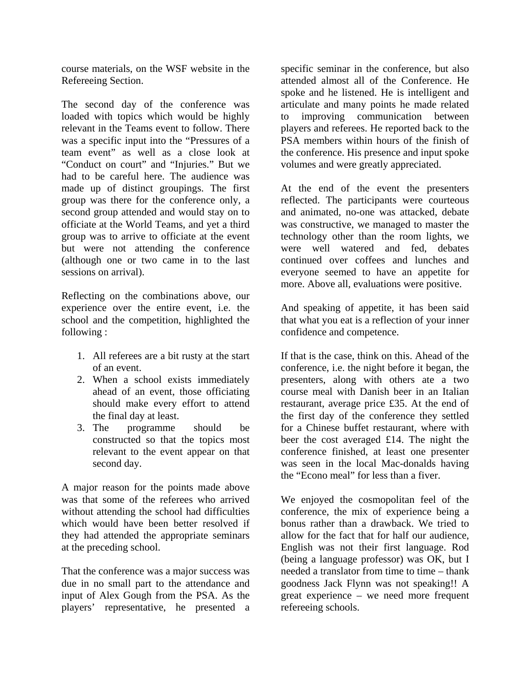course materials, on the WSF website in the Refereeing Section.

The second day of the conference was loaded with topics which would be highly relevant in the Teams event to follow. There was a specific input into the "Pressures of a team event" as well as a close look at "Conduct on court" and "Injuries." But we had to be careful here. The audience was made up of distinct groupings. The first group was there for the conference only, a second group attended and would stay on to officiate at the World Teams, and yet a third group was to arrive to officiate at the event but were not attending the conference (although one or two came in to the last sessions on arrival).

Reflecting on the combinations above, our experience over the entire event, i.e. the school and the competition, highlighted the following :

- 1. All referees are a bit rusty at the start of an event.
- 2. When a school exists immediately ahead of an event, those officiating should make every effort to attend the final day at least.
- 3. The programme should be constructed so that the topics most relevant to the event appear on that second day.

A major reason for the points made above was that some of the referees who arrived without attending the school had difficulties which would have been better resolved if they had attended the appropriate seminars at the preceding school.

That the conference was a major success was due in no small part to the attendance and input of Alex Gough from the PSA. As the players' representative, he presented a

specific seminar in the conference, but also attended almost all of the Conference. He spoke and he listened. He is intelligent and articulate and many points he made related to improving communication between players and referees. He reported back to the PSA members within hours of the finish of the conference. His presence and input spoke volumes and were greatly appreciated.

At the end of the event the presenters reflected. The participants were courteous and animated, no-one was attacked, debate was constructive, we managed to master the technology other than the room lights, we were well watered and fed, debates continued over coffees and lunches and everyone seemed to have an appetite for more. Above all, evaluations were positive.

And speaking of appetite, it has been said that what you eat is a reflection of your inner confidence and competence.

If that is the case, think on this. Ahead of the conference, i.e. the night before it began, the presenters, along with others ate a two course meal with Danish beer in an Italian restaurant, average price £35. At the end of the first day of the conference they settled for a Chinese buffet restaurant, where with beer the cost averaged £14. The night the conference finished, at least one presenter was seen in the local Mac-donalds having the "Econo meal" for less than a fiver.

We enjoyed the cosmopolitan feel of the conference, the mix of experience being a bonus rather than a drawback. We tried to allow for the fact that for half our audience, English was not their first language. Rod (being a language professor) was OK, but I needed a translator from time to time – thank goodness Jack Flynn was not speaking!! A great experience – we need more frequent refereeing schools.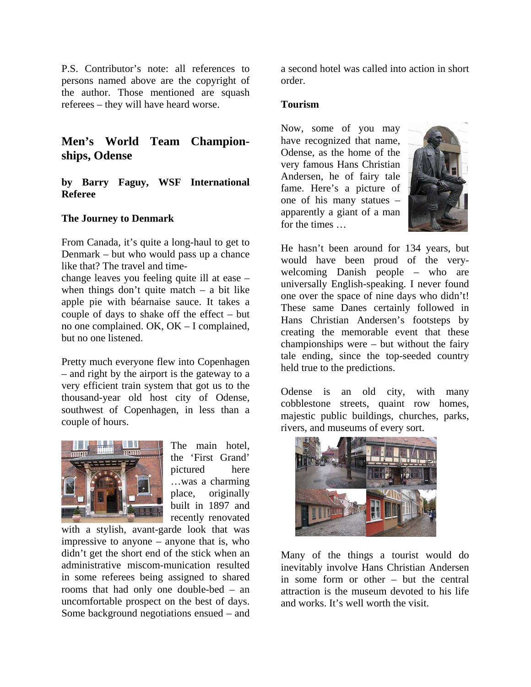P.S. Contributor's note: all references to persons named above are the copyright of the author. Those mentioned are squash referees – they will have heard worse.

## **Men's World Team Championships, Odense**

**by Barry Faguy, WSF International Referee**

#### **The Journey to Denmark**

From Canada, it's quite a long-haul to get to Denmark – but who would pass up a chance like that? The travel and time-

change leaves you feeling quite ill at ease – when things don't quite match  $-$  a bit like apple pie with béarnaise sauce. It takes a couple of days to shake off the effect – but no one complained. OK, OK – I complained, but no one listened.

Pretty much everyone flew into Copenhagen – and right by the airport is the gateway to a very efficient train system that got us to the thousand-year old host city of Odense, southwest of Copenhagen, in less than a couple of hours.



The main hotel, the 'First Grand' pictured here …was a charming place, originally built in 1897 and recently renovated

with a stylish, avant-garde look that was impressive to anyone – anyone that is, who didn't get the short end of the stick when an administrative miscom-munication resulted in some referees being assigned to shared rooms that had only one double-bed – an uncomfortable prospect on the best of days. Some background negotiations ensued – and

a second hotel was called into action in short order.

#### **Tourism**

Now, some of you may have recognized that name, Odense, as the home of the very famous Hans Christian Andersen, he of fairy tale fame. Here's a picture of one of his many statues – apparently a giant of a man for the times …



He hasn't been around for 134 years, but would have been proud of the verywelcoming Danish people – who are universally English-speaking. I never found one over the space of nine days who didn't! These same Danes certainly followed in Hans Christian Andersen's footsteps by creating the memorable event that these championships were – but without the fairy tale ending, since the top-seeded country held true to the predictions.

Odense is an old city, with many cobblestone streets, quaint row homes, majestic public buildings, churches, parks, rivers, and museums of every sort.



Many of the things a tourist would do inevitably involve Hans Christian Andersen in some form or other – but the central attraction is the museum devoted to his life and works. It's well worth the visit.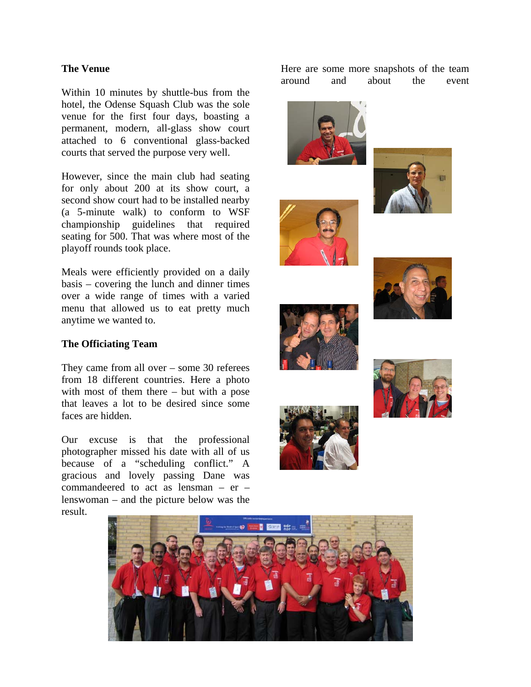#### **The Venue**

Within 10 minutes by shuttle-bus from the hotel, the Odense Squash Club was the sole venue for the first four days, boasting a permanent, modern, all-glass show court attached to 6 conventional glass-backed courts that served the purpose very well.

However, since the main club had seating for only about 200 at its show court, a second show court had to be installed nearby (a 5-minute walk) to conform to WSF championship guidelines that required seating for 500. That was where most of the playoff rounds took place.

Meals were efficiently provided on a daily basis – covering the lunch and dinner times over a wide range of times with a varied menu that allowed us to eat pretty much anytime we wanted to.

#### **The Officiating Team**

They came from all over – some 30 referees from 18 different countries. Here a photo with most of them there – but with a pose that leaves a lot to be desired since some faces are hidden.

Our excuse is that the professional photographer missed his date with all of us because of a "scheduling conflict." A gracious and lovely passing Dane was commandeered to act as lensman – er – lenswoman – and the picture below was the result.

Here are some more snapshots of the team around and about the event















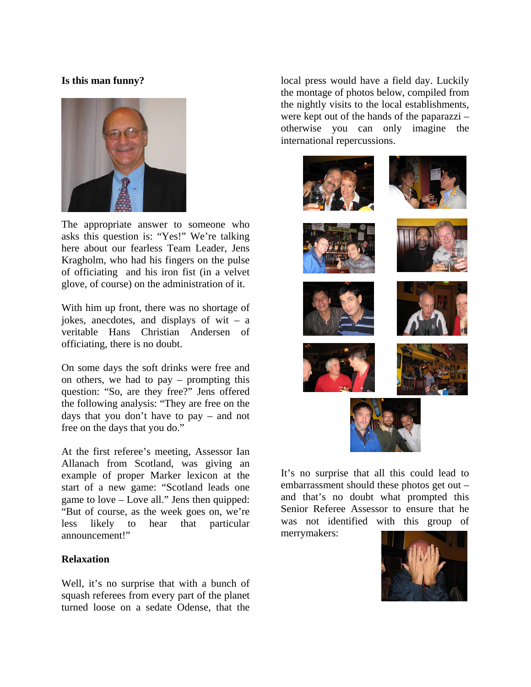#### **Is this man funny?**



The appropriate answer to someone who asks this question is: "Yes!" We're talking here about our fearless Team Leader, Jens Kragholm, who had his fingers on the pulse of officiating and his iron fist (in a velvet glove, of course) on the administration of it.

With him up front, there was no shortage of jokes, anecdotes, and displays of wit  $-$  a veritable Hans Christian Andersen of officiating, there is no doubt.

On some days the soft drinks were free and on others, we had to pay – prompting this question: "So, are they free?" Jens offered the following analysis: "They are free on the days that you don't have to pay – and not free on the days that you do."

At the first referee's meeting, Assessor Ian Allanach from Scotland, was giving an example of proper Marker lexicon at the start of a new game: "Scotland leads one game to love – Love all." Jens then quipped: "But of course, as the week goes on, we're less likely to hear that particular announcement!"

#### **Relaxation**

Well, it's no surprise that with a bunch of squash referees from every part of the planet turned loose on a sedate Odense, that the

local press would have a field day. Luckily the montage of photos below, compiled from the nightly visits to the local establishments, were kept out of the hands of the paparazzi – otherwise you can only imagine the international repercussions.



It's no surprise that all this could lead to embarrassment should these photos get out – and that's no doubt what prompted this Senior Referee Assessor to ensure that he was not identified with this group of merrymakers:

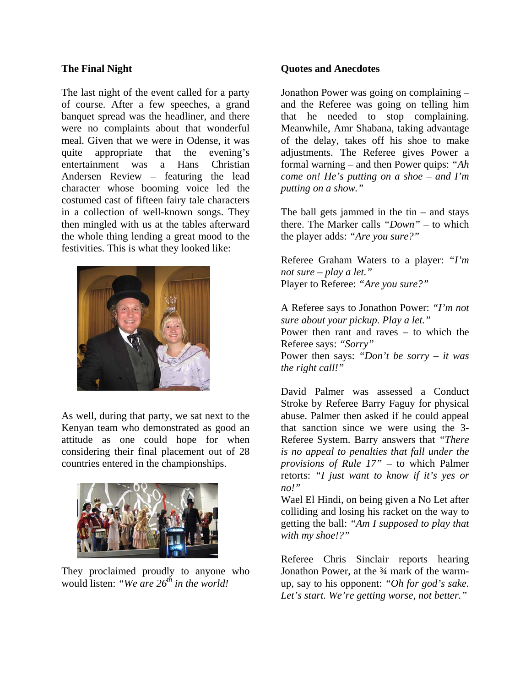#### **The Final Night**

The last night of the event called for a party of course. After a few speeches, a grand banquet spread was the headliner, and there were no complaints about that wonderful meal. Given that we were in Odense, it was quite appropriate that the evening's entertainment was a Hans Christian Andersen Review – featuring the lead character whose booming voice led the costumed cast of fifteen fairy tale characters in a collection of well-known songs. They then mingled with us at the tables afterward the whole thing lending a great mood to the festivities. This is what they looked like:



As well, during that party, we sat next to the Kenyan team who demonstrated as good an attitude as one could hope for when considering their final placement out of 28 countries entered in the championships.



They proclaimed proudly to anyone who would listen: *"We are 26th in the world!* 

#### **Quotes and Anecdotes**

Jonathon Power was going on complaining – and the Referee was going on telling him that he needed to stop complaining. Meanwhile, Amr Shabana, taking advantage of the delay, takes off his shoe to make adjustments. The Referee gives Power a formal warning – and then Power quips: *"Ah come on! He's putting on a shoe – and I'm putting on a show."* 

The ball gets jammed in the  $tin -$  and stays there. The Marker calls *"Down"* – to which the player adds: *"Are you sure?"*

Referee Graham Waters to a player: *"I'm not sure – play a let."* Player to Referee: *"Are you sure?"*

A Referee says to Jonathon Power: *"I'm not sure about your pickup. Play a let."* Power then rant and raves – to which the Referee says: *"Sorry"* Power then says: *"Don't be sorry – it was the right call!"*

David Palmer was assessed a Conduct Stroke by Referee Barry Faguy for physical abuse. Palmer then asked if he could appeal that sanction since we were using the 3- Referee System. Barry answers that *"There is no appeal to penalties that fall under the provisions of Rule 17"* – to which Palmer retorts: *"I just want to know if it's yes or no!"* 

Wael El Hindi, on being given a No Let after colliding and losing his racket on the way to getting the ball: *"Am I supposed to play that with my shoe!?"*

Referee Chris Sinclair reports hearing Jonathon Power, at the <sup>3</sup>/4 mark of the warmup, say to his opponent: *"Oh for god's sake. Let's start. We're getting worse, not better."*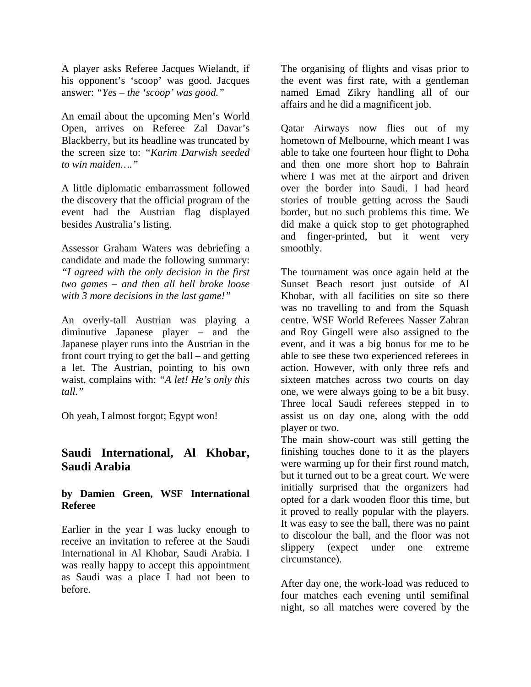A player asks Referee Jacques Wielandt, if his opponent's 'scoop' was good. Jacques answer: *"Yes – the 'scoop' was good."* 

An email about the upcoming Men's World Open, arrives on Referee Zal Davar's Blackberry, but its headline was truncated by the screen size to: *"Karim Darwish seeded to win maiden…."*

A little diplomatic embarrassment followed the discovery that the official program of the event had the Austrian flag displayed besides Australia's listing.

Assessor Graham Waters was debriefing a candidate and made the following summary: *"I agreed with the only decision in the first two games – and then all hell broke loose with 3 more decisions in the last game!"*

An overly-tall Austrian was playing a diminutive Japanese player – and the Japanese player runs into the Austrian in the front court trying to get the ball – and getting a let. The Austrian, pointing to his own waist, complains with: *"A let! He's only this tall."*

Oh yeah, I almost forgot; Egypt won!

## **Saudi International, Al Khobar, Saudi Arabia**

## **by Damien Green, WSF International Referee**

Earlier in the year I was lucky enough to receive an invitation to referee at the Saudi International in Al Khobar, Saudi Arabia. I was really happy to accept this appointment as Saudi was a place I had not been to before.

The organising of flights and visas prior to the event was first rate, with a gentleman named Emad Zikry handling all of our affairs and he did a magnificent job.

Qatar Airways now flies out of my hometown of Melbourne, which meant I was able to take one fourteen hour flight to Doha and then one more short hop to Bahrain where I was met at the airport and driven over the border into Saudi. I had heard stories of trouble getting across the Saudi border, but no such problems this time. We did make a quick stop to get photographed and finger-printed, but it went very smoothly.

The tournament was once again held at the Sunset Beach resort just outside of Al Khobar, with all facilities on site so there was no travelling to and from the Squash centre. WSF World Referees Nasser Zahran and Roy Gingell were also assigned to the event, and it was a big bonus for me to be able to see these two experienced referees in action. However, with only three refs and sixteen matches across two courts on day one, we were always going to be a bit busy. Three local Saudi referees stepped in to assist us on day one, along with the odd player or two.

The main show-court was still getting the finishing touches done to it as the players were warming up for their first round match, but it turned out to be a great court. We were initially surprised that the organizers had opted for a dark wooden floor this time, but it proved to really popular with the players. It was easy to see the ball, there was no paint to discolour the ball, and the floor was not slippery (expect under one extreme circumstance).

After day one, the work-load was reduced to four matches each evening until semifinal night, so all matches were covered by the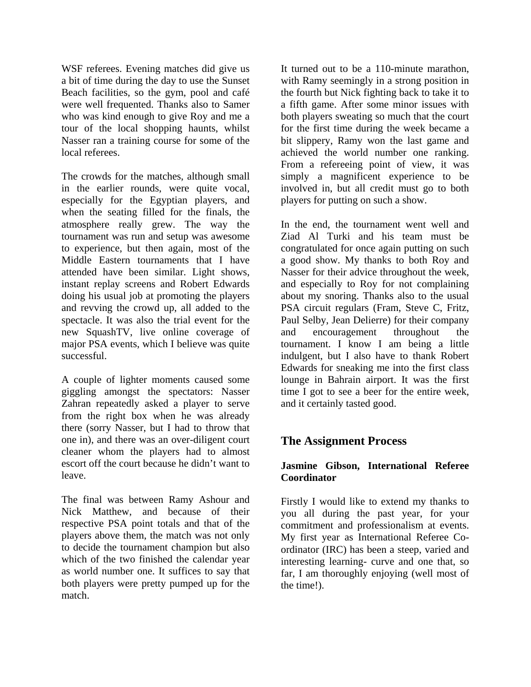WSF referees. Evening matches did give us a bit of time during the day to use the Sunset Beach facilities, so the gym, pool and café were well frequented. Thanks also to Samer who was kind enough to give Roy and me a tour of the local shopping haunts, whilst Nasser ran a training course for some of the local referees.

The crowds for the matches, although small in the earlier rounds, were quite vocal, especially for the Egyptian players, and when the seating filled for the finals, the atmosphere really grew. The way the tournament was run and setup was awesome to experience, but then again, most of the Middle Eastern tournaments that I have attended have been similar. Light shows, instant replay screens and Robert Edwards doing his usual job at promoting the players and revving the crowd up, all added to the spectacle. It was also the trial event for the new SquashTV, live online coverage of major PSA events, which I believe was quite successful.

A couple of lighter moments caused some giggling amongst the spectators: Nasser Zahran repeatedly asked a player to serve from the right box when he was already there (sorry Nasser, but I had to throw that one in), and there was an over-diligent court cleaner whom the players had to almost escort off the court because he didn't want to leave.

The final was between Ramy Ashour and Nick Matthew, and because of their respective PSA point totals and that of the players above them, the match was not only to decide the tournament champion but also which of the two finished the calendar year as world number one. It suffices to say that both players were pretty pumped up for the match.

It turned out to be a 110-minute marathon, with Ramy seemingly in a strong position in the fourth but Nick fighting back to take it to a fifth game. After some minor issues with both players sweating so much that the court for the first time during the week became a bit slippery, Ramy won the last game and achieved the world number one ranking. From a refereeing point of view, it was simply a magnificent experience to be involved in, but all credit must go to both players for putting on such a show.

In the end, the tournament went well and Ziad Al Turki and his team must be congratulated for once again putting on such a good show. My thanks to both Roy and Nasser for their advice throughout the week, and especially to Roy for not complaining about my snoring. Thanks also to the usual PSA circuit regulars (Fram, Steve C, Fritz, Paul Selby, Jean Delierre) for their company and encouragement throughout the tournament. I know I am being a little indulgent, but I also have to thank Robert Edwards for sneaking me into the first class lounge in Bahrain airport. It was the first time I got to see a beer for the entire week, and it certainly tasted good.

## **The Assignment Process**

## **Jasmine Gibson, International Referee Coordinator**

Firstly I would like to extend my thanks to you all during the past year, for your commitment and professionalism at events. My first year as International Referee Coordinator (IRC) has been a steep, varied and interesting learning- curve and one that, so far, I am thoroughly enjoying (well most of the time!).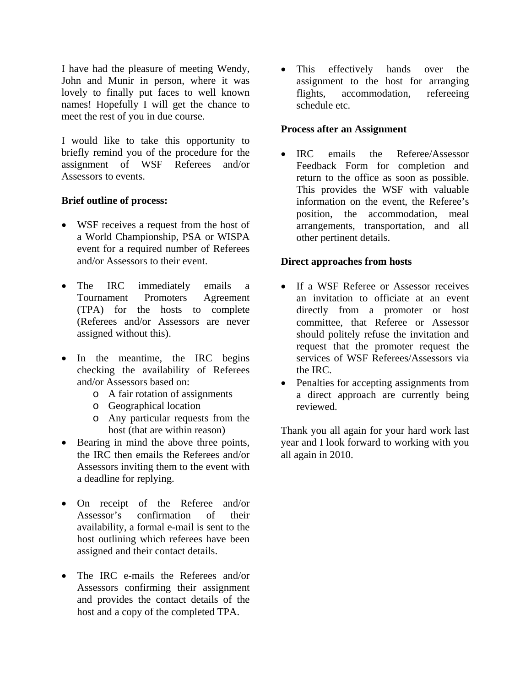I have had the pleasure of meeting Wendy, John and Munir in person, where it was lovely to finally put faces to well known names! Hopefully I will get the chance to meet the rest of you in due course.

I would like to take this opportunity to briefly remind you of the procedure for the assignment of WSF Referees and/or Assessors to events.

## **Brief outline of process:**

- WSF receives a request from the host of a World Championship, PSA or WISPA event for a required number of Referees and/or Assessors to their event.
- The IRC immediately emails a Tournament Promoters Agreement (TPA) for the hosts to complete (Referees and/or Assessors are never assigned without this).
- In the meantime, the IRC begins checking the availability of Referees and/or Assessors based on:
	- o A fair rotation of assignments
	- o Geographical location
	- o Any particular requests from the host (that are within reason)
- Bearing in mind the above three points, the IRC then emails the Referees and/or Assessors inviting them to the event with a deadline for replying.
- On receipt of the Referee and/or Assessor's confirmation of their availability, a formal e-mail is sent to the host outlining which referees have been assigned and their contact details.
- The IRC e-mails the Referees and/or Assessors confirming their assignment and provides the contact details of the host and a copy of the completed TPA.

• This effectively hands over the assignment to the host for arranging flights, accommodation, refereeing schedule etc.

## **Process after an Assignment**

 IRC emails the Referee/Assessor Feedback Form for completion and return to the office as soon as possible. This provides the WSF with valuable information on the event, the Referee's position, the accommodation, meal arrangements, transportation, and all other pertinent details.

## **Direct approaches from hosts**

- If a WSF Referee or Assessor receives an invitation to officiate at an event directly from a promoter or host committee, that Referee or Assessor should politely refuse the invitation and request that the promoter request the services of WSF Referees/Assessors via the IRC.
- Penalties for accepting assignments from a direct approach are currently being reviewed.

Thank you all again for your hard work last year and I look forward to working with you all again in 2010.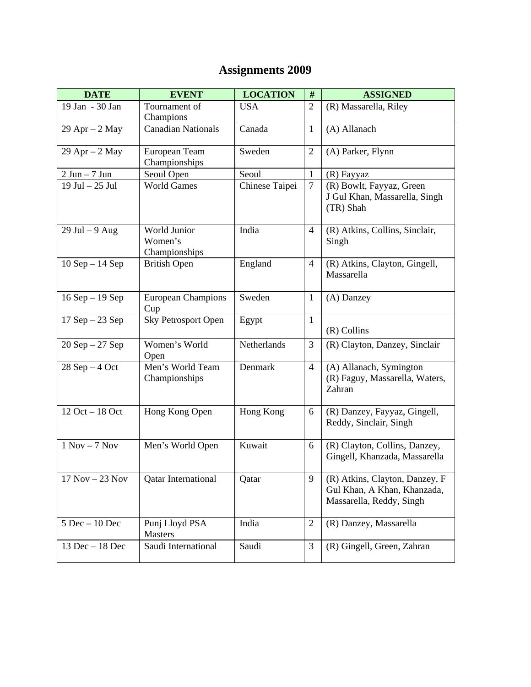# **Assignments 2009**

| <b>DATE</b>         | <b>EVENT</b>                             | <b>LOCATION</b> | $\#$           | <b>ASSIGNED</b>                                                                           |
|---------------------|------------------------------------------|-----------------|----------------|-------------------------------------------------------------------------------------------|
| 19 Jan - 30 Jan     | Tournament of<br>Champions               | <b>USA</b>      | $\overline{2}$ | (R) Massarella, Riley                                                                     |
| $29$ Apr $- 2$ May  | <b>Canadian Nationals</b>                | Canada          | $\mathbf{1}$   | (A) Allanach                                                                              |
| $29$ Apr $- 2$ May  | European Team<br>Championships           | Sweden          | 2              | (A) Parker, Flynn                                                                         |
| $2$ Jun $-7$ Jun    | Seoul Open                               | Seoul           | $\mathbf{1}$   | (R) Fayyaz                                                                                |
| 19 Jul - 25 Jul     | <b>World Games</b>                       | Chinese Taipei  | $\overline{7}$ | (R) Bowlt, Fayyaz, Green<br>J Gul Khan, Massarella, Singh<br>(TR) Shah                    |
| $29$ Jul $-9$ Aug   | World Junior<br>Women's<br>Championships | India           | $\overline{4}$ | (R) Atkins, Collins, Sinclair,<br>Singh                                                   |
| $10$ Sep $- 14$ Sep | <b>British Open</b>                      | England         | $\overline{4}$ | (R) Atkins, Clayton, Gingell,<br>Massarella                                               |
| $16$ Sep $-19$ Sep  | <b>European Champions</b><br>Cup         | Sweden          | $\mathbf{1}$   | (A) Danzey                                                                                |
| $17$ Sep $-23$ Sep  | <b>Sky Petrosport Open</b>               | Egypt           | $\mathbf{1}$   | $(R)$ Collins                                                                             |
| $20$ Sep $-27$ Sep  | Women's World<br>Open                    | Netherlands     | $\overline{3}$ | (R) Clayton, Danzey, Sinclair                                                             |
| $28$ Sep $-4$ Oct   | Men's World Team<br>Championships        | Denmark         | $\overline{4}$ | (A) Allanach, Symington<br>(R) Faguy, Massarella, Waters,<br>Zahran                       |
| $12$ Oct $-18$ Oct  | Hong Kong Open                           | Hong Kong       | 6              | (R) Danzey, Fayyaz, Gingell,<br>Reddy, Sinclair, Singh                                    |
| $1 Nov - 7 Nov$     | Men's World Open                         | Kuwait          | 6              | (R) Clayton, Collins, Danzey,<br>Gingell, Khanzada, Massarella                            |
| $17$ Nov $-23$ Nov  | Qatar International                      | Qatar           | 9              | (R) Atkins, Clayton, Danzey, F<br>Gul Khan, A Khan, Khanzada,<br>Massarella, Reddy, Singh |
| $5$ Dec $-10$ Dec   | Punj Lloyd PSA<br><b>Masters</b>         | India           | $\overline{2}$ | (R) Danzey, Massarella                                                                    |
| $13$ Dec $-18$ Dec  | Saudi International                      | Saudi           | 3              | (R) Gingell, Green, Zahran                                                                |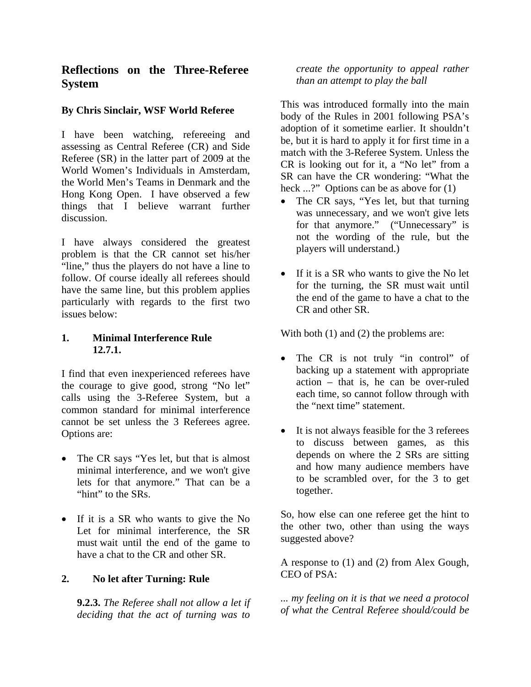## **Reflections on the Three-Referee System**

## **By Chris Sinclair, WSF World Referee**

I have been watching, refereeing and assessing as Central Referee (CR) and Side Referee (SR) in the latter part of 2009 at the World Women's Individuals in Amsterdam, the World Men's Teams in Denmark and the Hong Kong Open. I have observed a few things that I believe warrant further discussion.

I have always considered the greatest problem is that the CR cannot set his/her "line," thus the players do not have a line to follow. Of course ideally all referees should have the same line, but this problem applies particularly with regards to the first two issues below:

## **1. Minimal Interference Rule 12.7.1.**

I find that even inexperienced referees have the courage to give good, strong "No let" calls using the 3-Referee System, but a common standard for minimal interference cannot be set unless the 3 Referees agree. Options are:

- The CR says "Yes let, but that is almost minimal interference, and we won't give lets for that anymore." That can be a "hint" to the SRs.
- If it is a SR who wants to give the No Let for minimal interference, the SR must wait until the end of the game to have a chat to the CR and other SR.

## **2. No let after Turning: Rule**

**9.2.3.** *The Referee shall not allow a let if deciding that the act of turning was to* 

*create the opportunity to appeal rather than an attempt to play the ball* 

This was introduced formally into the main body of the Rules in 2001 following PSA's adoption of it sometime earlier. It shouldn't be, but it is hard to apply it for first time in a match with the 3-Referee System. Unless the CR is looking out for it, a "No let" from a SR can have the CR wondering: "What the heck ...?" Options can be as above for (1)

- The CR says, "Yes let, but that turning was unnecessary, and we won't give lets for that anymore." ("Unnecessary" is not the wording of the rule, but the players will understand.)
- If it is a SR who wants to give the No let for the turning, the SR must wait until the end of the game to have a chat to the CR and other SR.

With both (1) and (2) the problems are:

- The CR is not truly "in control" of backing up a statement with appropriate action – that is, he can be over-ruled each time, so cannot follow through with the "next time" statement.
- It is not always feasible for the 3 referees to discuss between games, as this depends on where the 2 SRs are sitting and how many audience members have to be scrambled over, for the 3 to get together.

So, how else can one referee get the hint to the other two, other than using the ways suggested above?

A response to (1) and (2) from Alex Gough, CEO of PSA:

*... my feeling on it is that we need a protocol of what the Central Referee should/could be*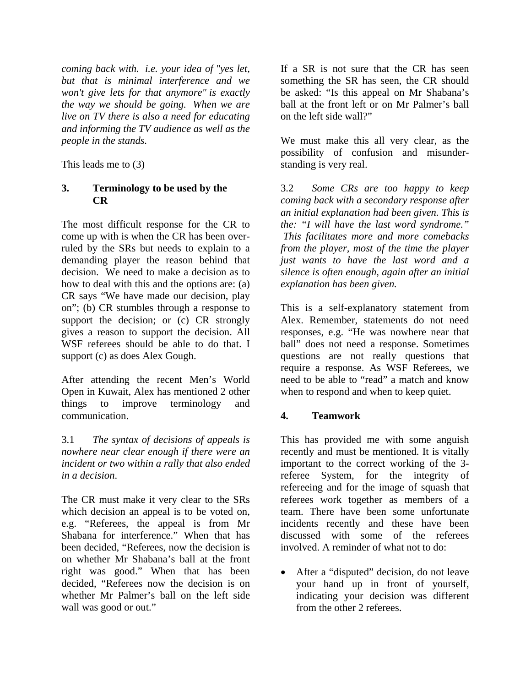*coming back with. i.e. your idea of "yes let, but that is minimal interference and we won't give lets for that anymore" is exactly the way we should be going. When we are live on TV there is also a need for educating and informing the TV audience as well as the people in the stands.*

This leads me to (3)

## **3. Terminology to be used by the CR**

The most difficult response for the CR to come up with is when the CR has been overruled by the SRs but needs to explain to a demanding player the reason behind that decision. We need to make a decision as to how to deal with this and the options are: (a) CR says "We have made our decision, play on"; (b) CR stumbles through a response to support the decision; or (c) CR strongly gives a reason to support the decision. All WSF referees should be able to do that. I support (c) as does Alex Gough.

After attending the recent Men's World Open in Kuwait, Alex has mentioned 2 other things to improve terminology and communication.

3.1 *The syntax of decisions of appeals is nowhere near clear enough if there were an incident or two within a rally that also ended in a decision*.

The CR must make it very clear to the SRs which decision an appeal is to be voted on, e.g. "Referees, the appeal is from Mr Shabana for interference." When that has been decided, "Referees, now the decision is on whether Mr Shabana's ball at the front right was good." When that has been decided, "Referees now the decision is on whether Mr Palmer's ball on the left side wall was good or out."

If a SR is not sure that the CR has seen something the SR has seen, the CR should be asked: "Is this appeal on Mr Shabana's ball at the front left or on Mr Palmer's ball on the left side wall?"

We must make this all very clear, as the possibility of confusion and misunderstanding is very real.

3.2 *Some CRs are too happy to keep coming back with a secondary response after an initial explanation had been given. This is the: "I will have the last word syndrome." This facilitates more and more comebacks from the player, most of the time the player just wants to have the last word and a silence is often enough, again after an initial explanation has been given.*

This is a self-explanatory statement from Alex. Remember, statements do not need responses, e.g. "He was nowhere near that ball" does not need a response. Sometimes questions are not really questions that require a response. As WSF Referees, we need to be able to "read" a match and know when to respond and when to keep quiet.

## **4. Teamwork**

This has provided me with some anguish recently and must be mentioned. It is vitally important to the correct working of the 3 referee System, for the integrity of refereeing and for the image of squash that referees work together as members of a team. There have been some unfortunate incidents recently and these have been discussed with some of the referees involved. A reminder of what not to do:

 After a "disputed" decision, do not leave your hand up in front of yourself, indicating your decision was different from the other 2 referees.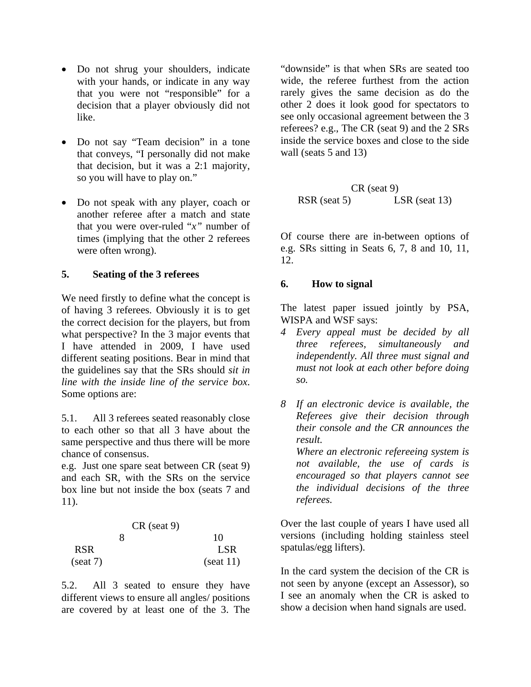- Do not shrug your shoulders, indicate with your hands, or indicate in any way that you were not "responsible" for a decision that a player obviously did not like.
- Do not say "Team decision" in a tone that conveys, "I personally did not make that decision, but it was a 2:1 majority, so you will have to play on."
- Do not speak with any player, coach or another referee after a match and state that you were over-ruled "*x"* number of times (implying that the other 2 referees were often wrong).

## **5. Seating of the 3 referees**

We need firstly to define what the concept is of having 3 referees. Obviously it is to get the correct decision for the players, but from what perspective? In the 3 major events that I have attended in 2009, I have used different seating positions. Bear in mind that the guidelines say that the SRs should *sit in line with the inside line of the service box*. Some options are:

5.1. All 3 referees seated reasonably close to each other so that all 3 have about the same perspective and thus there will be more chance of consensus.

e.g. Just one spare seat between CR (seat 9) and each SR, with the SRs on the service box line but not inside the box (seats 7 and 11).

|             |   | $CR$ (seat 9) |
|-------------|---|---------------|
|             | x | 10            |
| <b>RSR</b>  |   | LSR           |
| $(s$ eat 7) |   | $(s$ eat 11)  |

5.2. All 3 seated to ensure they have different views to ensure all angles/ positions are covered by at least one of the 3. The

"downside" is that when SRs are seated too wide, the referee furthest from the action rarely gives the same decision as do the other 2 does it look good for spectators to see only occasional agreement between the 3 referees? e.g., The CR (seat 9) and the 2 SRs inside the service boxes and close to the side wall (seats 5 and 13)

CR (seat 9) RSR (seat 5) LSR (seat 13)

Of course there are in-between options of e.g. SRs sitting in Seats 6, 7, 8 and 10, 11, 12.

## **6. How to signal**

The latest paper issued jointly by PSA, WISPA and WSF says:

- *4 Every appeal must be decided by all three referees, simultaneously and independently. All three must signal and must not look at each other before doing so.*
- *8 If an electronic device is available, the Referees give their decision through their console and the CR announces the result.*

*Where an electronic refereeing system is not available, the use of cards is encouraged so that players cannot see the individual decisions of the three referees.* 

Over the last couple of years I have used all versions (including holding stainless steel spatulas/egg lifters).

In the card system the decision of the CR is not seen by anyone (except an Assessor), so I see an anomaly when the CR is asked to show a decision when hand signals are used.